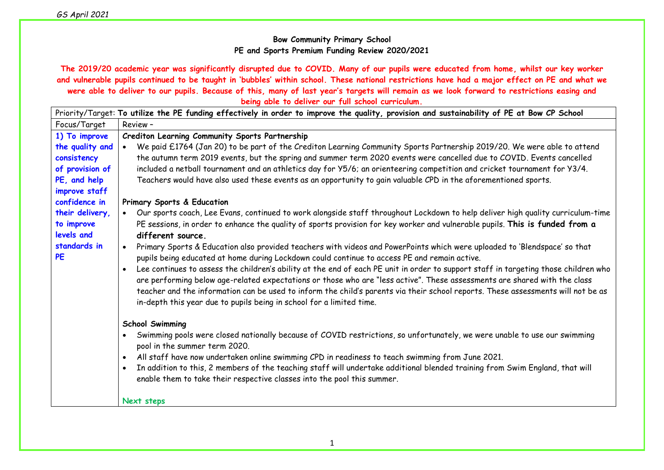## **Bow Community Primary School PE and Sports Premium Funding Review 2020/2021**

**The 2019/20 academic year was significantly disrupted due to COVID. Many of our pupils were educated from home, whilst our key worker and vulnerable pupils continued to be taught in 'bubbles' within school. These national restrictions have had a major effect on PE and what we were able to deliver to our pupils. Because of this, many of last year's targets will remain as we look forward to restrictions easing and being able to deliver our full school curriculum.**

|                                                                                    | Priority/Target: To utilize the PE funding effectively in order to improve the quality, provision and sustainability of PE at Bow CP School                                                                                                                                                                                                                                                                                                                                                                   |
|------------------------------------------------------------------------------------|---------------------------------------------------------------------------------------------------------------------------------------------------------------------------------------------------------------------------------------------------------------------------------------------------------------------------------------------------------------------------------------------------------------------------------------------------------------------------------------------------------------|
| Focus/Target                                                                       | Review -                                                                                                                                                                                                                                                                                                                                                                                                                                                                                                      |
| 1) To improve                                                                      | Crediton Learning Community Sports Partnership                                                                                                                                                                                                                                                                                                                                                                                                                                                                |
| the quality and<br>consistency<br>of provision of<br>PE, and help<br>improve staff | We paid £1764 (Jan 20) to be part of the Crediton Learning Community Sports Partnership 2019/20. We were able to attend<br>$\bullet$<br>the autumn term 2019 events, but the spring and summer term 2020 events were cancelled due to COVID. Events cancelled<br>included a netball tournament and an athletics day for Y5/6; an orienteering competition and cricket tournament for Y3/4.<br>Teachers would have also used these events as an opportunity to gain valuable CPD in the aforementioned sports. |
| confidence in                                                                      | Primary Sports & Education                                                                                                                                                                                                                                                                                                                                                                                                                                                                                    |
| their delivery,<br>to improve<br>levels and                                        | Our sports coach, Lee Evans, continued to work alongside staff throughout Lockdown to help deliver high quality curriculum-time<br>PE sessions, in order to enhance the quality of sports provision for key worker and vulnerable pupils. This is funded from a<br>different source.                                                                                                                                                                                                                          |
| standards in<br><b>PE</b>                                                          | Primary Sports & Education also provided teachers with videos and PowerPoints which were uploaded to 'Blendspace' so that<br>$\bullet$<br>pupils being educated at home during Lockdown could continue to access PE and remain active.                                                                                                                                                                                                                                                                        |
|                                                                                    | Lee continues to assess the children's ability at the end of each PE unit in order to support staff in targeting those children who<br>are performing below age-related expectations or those who are "less active". These assessments are shared with the class<br>teacher and the information can be used to inform the child's parents via their school reports. These assessments will not be as<br>in-depth this year due to pupils being in school for a limited time.                                  |
|                                                                                    | <b>School Swimming</b>                                                                                                                                                                                                                                                                                                                                                                                                                                                                                        |
|                                                                                    | Swimming pools were closed nationally because of COVID restrictions, so unfortunately, we were unable to use our swimming<br>pool in the summer term 2020.                                                                                                                                                                                                                                                                                                                                                    |
|                                                                                    | All staff have now undertaken online swimming CPD in readiness to teach swimming from June 2021.<br>$\bullet$                                                                                                                                                                                                                                                                                                                                                                                                 |
|                                                                                    | In addition to this, 2 members of the teaching staff will undertake additional blended training from Swim England, that will<br>enable them to take their respective classes into the pool this summer.                                                                                                                                                                                                                                                                                                       |
|                                                                                    | Next steps                                                                                                                                                                                                                                                                                                                                                                                                                                                                                                    |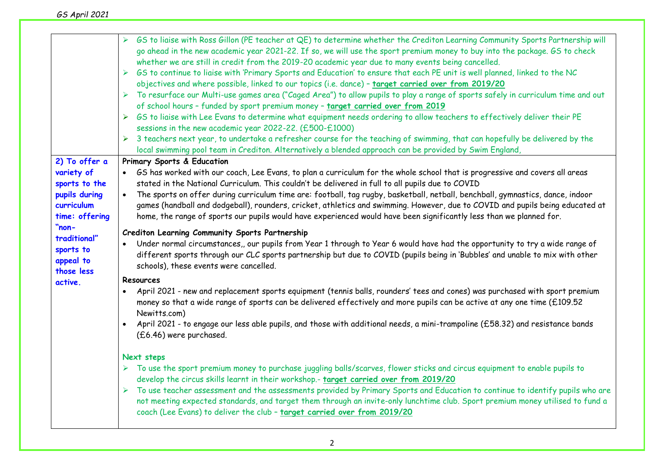|                                                                                                                                                                           | GS to liaise with Ross Gillon (PE teacher at QE) to determine whether the Crediton Learning Community Sports Partnership will<br>go ahead in the new academic year 2021-22. If so, we will use the sport premium money to buy into the package. GS to check<br>whether we are still in credit from the 2019-20 academic year due to many events being cancelled.<br>GS to continue to liaise with 'Primary Sports and Education' to ensure that each PE unit is well planned, linked to the NC<br>objectives and where possible, linked to our topics (i.e. dance) - target carried over from 2019/20<br>To resurface our Multi-use games area ("Caged Area") to allow pupils to play a range of sports safely in curriculum time and out<br>of school hours - funded by sport premium money - target carried over from 2019<br>GS to liaise with Lee Evans to determine what equipment needs ordering to allow teachers to effectively deliver their PE<br>➤<br>sessions in the new academic year 2022-22. (£500-£1000)<br>> 3 teachers next year, to undertake a refresher course for the teaching of swimming, that can hopefully be delivered by the<br>local swimming pool team in Crediton. Alternatively a blended approach can be provided by Swim England, |
|---------------------------------------------------------------------------------------------------------------------------------------------------------------------------|---------------------------------------------------------------------------------------------------------------------------------------------------------------------------------------------------------------------------------------------------------------------------------------------------------------------------------------------------------------------------------------------------------------------------------------------------------------------------------------------------------------------------------------------------------------------------------------------------------------------------------------------------------------------------------------------------------------------------------------------------------------------------------------------------------------------------------------------------------------------------------------------------------------------------------------------------------------------------------------------------------------------------------------------------------------------------------------------------------------------------------------------------------------------------------------------------------------------------------------------------------------------|
| 2) To offer a<br>variety of<br>sports to the<br>pupils during<br>curriculum<br>time: offering<br>"non-<br>traditional"<br>sports to<br>appeal to<br>those less<br>active. | Primary Sports & Education<br>GS has worked with our coach, Lee Evans, to plan a curriculum for the whole school that is progressive and covers all areas<br>stated in the National Curriculum. This couldn't be delivered in full to all pupils due to COVID<br>The sports on offer during curriculum time are: football, tag rugby, basketball, netball, benchball, gymnastics, dance, indoor<br>$\bullet$<br>games (handball and dodgeball), rounders, cricket, athletics and swimming. However, due to COVID and pupils being educated at<br>home, the range of sports our pupils would have experienced would have been significantly less than we planned for.<br>Crediton Learning Community Sports Partnership<br>Under normal circumstances,, our pupils from Year 1 through to Year 6 would have had the opportunity to try a wide range of<br>different sports through our CLC sports partnership but due to COVID (pupils being in 'Bubbles' and unable to mix with other<br>schools), these events were cancelled.                                                                                                                                                                                                                                     |
|                                                                                                                                                                           | <b>Resources</b><br>April 2021 - new and replacement sports equipment (tennis balls, rounders' tees and cones) was purchased with sport premium<br>money so that a wide range of sports can be delivered effectively and more pupils can be active at any one time (£109.52<br>Newitts.com)<br>April 2021 - to engage our less able pupils, and those with additional needs, a mini-trampoline (£58.32) and resistance bands<br>$\bullet$<br>(£6.46) were purchased.<br>Next steps<br>> To use the sport premium money to purchase juggling balls/scarves, flower sticks and circus equipment to enable pupils to<br>develop the circus skills learnt in their workshop.- target carried over from 2019/20<br>To use teacher assessment and the assessments provided by Primary Sports and Education to continue to identify pupils who are<br>➤<br>not meeting expected standards, and target them through an invite-only lunchtime club. Sport premium money utilised to fund a<br>coach (Lee Evans) to deliver the club - target carried over from 2019/20                                                                                                                                                                                                       |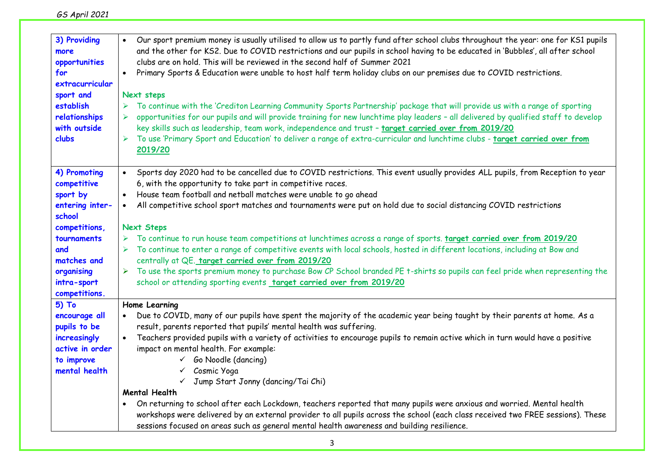| GS April 2021 |
|---------------|
|---------------|

| 3) Providing<br>more<br>opportunities<br>for<br>extracurricular<br>sport and<br>establish<br>relationships<br>with outside<br>clubs                                      | Our sport premium money is usually utilised to allow us to partly fund after school clubs throughout the year: one for KS1 pupils<br>$\bullet$<br>and the other for KS2. Due to COVID restrictions and our pupils in school having to be educated in 'Bubbles', all after school<br>clubs are on hold. This will be reviewed in the second half of Summer 2021<br>Primary Sports & Education were unable to host half term holiday clubs on our premises due to COVID restrictions.<br>$\bullet$<br>Next steps<br>To continue with the 'Crediton Learning Community Sports Partnership' package that will provide us with a range of sporting<br>opportunities for our pupils and will provide training for new lunchtime play leaders - all delivered by qualified staff to develop<br>key skills such as leadership, team work, independence and trust - target carried over from 2019/20<br>To use 'Primary Sport and Education' to deliver a range of extra-curricular and lunchtime clubs - target carried over from<br>2019/20 |
|--------------------------------------------------------------------------------------------------------------------------------------------------------------------------|--------------------------------------------------------------------------------------------------------------------------------------------------------------------------------------------------------------------------------------------------------------------------------------------------------------------------------------------------------------------------------------------------------------------------------------------------------------------------------------------------------------------------------------------------------------------------------------------------------------------------------------------------------------------------------------------------------------------------------------------------------------------------------------------------------------------------------------------------------------------------------------------------------------------------------------------------------------------------------------------------------------------------------------|
| 4) Promoting<br>competitive<br>sport by<br>entering inter-<br>school<br>competitions,<br>tournaments<br>and<br>matches and<br>organising<br>intra-sport<br>competitions. | Sports day 2020 had to be cancelled due to COVID restrictions. This event usually provides ALL pupils, from Reception to year<br>6, with the opportunity to take part in competitive races.<br>House team football and netball matches were unable to go ahead<br>$\bullet$<br>All competitive school sport matches and tournaments were put on hold due to social distancing COVID restrictions<br><b>Next Steps</b><br>To continue to run house team competitions at lunchtimes across a range of sports. target carried over from 2019/20<br>To continue to enter a range of competitive events with local schools, hosted in different locations, including at Bow and<br>centrally at QE. target carried over from 2019/20<br>To use the sports premium money to purchase Bow CP School branded PE t-shirts so pupils can feel pride when representing the<br>➤<br>school or attending sporting events target carried over from 2019/20                                                                                         |
| $5)$ To<br>encourage all<br>pupils to be<br>increasingly<br>active in order<br>to improve<br>mental health                                                               | Home Learning<br>Due to COVID, many of our pupils have spent the majority of the academic year being taught by their parents at home. As a<br>result, parents reported that pupils' mental health was suffering.<br>Teachers provided pupils with a variety of activities to encourage pupils to remain active which in turn would have a positive<br>$\bullet$<br>impact on mental health. For example:<br>$\checkmark$ Go Noodle (dancing)<br>√ Cosmic Yoga<br>√ Jump Start Jonny (dancing/Tai Chi)<br><b>Mental Health</b><br>On returning to school after each Lockdown, teachers reported that many pupils were anxious and worried. Mental health<br>workshops were delivered by an external provider to all pupils across the school (each class received two FREE sessions). These<br>sessions focused on areas such as general mental health awareness and building resilience.                                                                                                                                             |